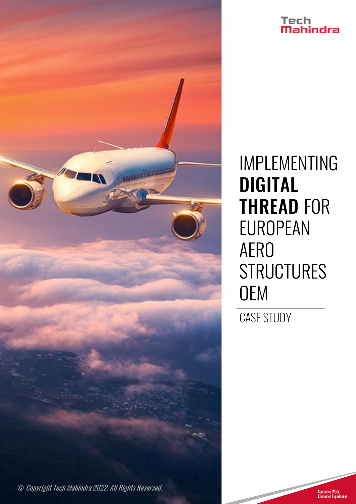

## Tech<br>**Mahindra**

IMPLEMENTING DIGITAL THREAD FOR EUROPEAN AERO **STRUCTURES** OEM

CASE STUDY.

Connected World.<br>Connected Experiences.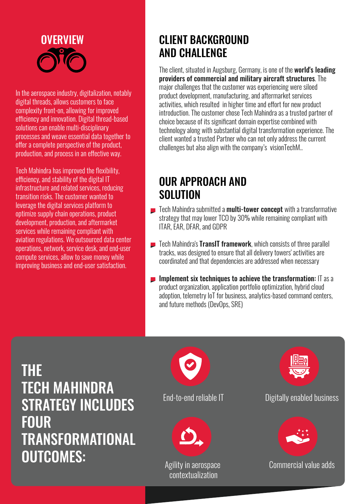

In the aerospace industry, digitalization, notably digital threads, allows customers to face complexity front-on, allowing for improved efficiency and innovation. Digital thread-based solutions can enable multi-disciplinary processes and weave essential data together to offer a complete perspective of the product, production, and process in an effective way.

Tech Mahindra has improved the flexibility, efficiency, and stability of the digital IT infrastructure and related services, reducing transition risks. The customer wanted to leverage the digital services platform to optimize supply chain operations, product development, production, and aftermarket services while remaining compliant with aviation regulations. We outsourced data center operations, network, service desk, and end-user compute services, allow to save money while improving business and end-user satisfaction.

## OVERVIEW CLIENT BACKGROUND AND CHALLENGE

The client, situated in Augsburg, Germany, is one of the **world's leading** providers of commercial and military aircraft structures. The major challenges that the customer was experiencing were siloed product development, manufacturing, and aftermarket services activities, which resulted in higher time and effort for new product introduction. The customer chose Tech Mahindra as a trusted partner of choice because of its significant domain expertise combined with technology along with substantial digital transformation experience. The client wanted a trusted Partner who can not only address the current challenges but also align with the company's visionTechM..

## OUR APPROACH AND SOLUTION

- $\blacksquare$  Tech Mahindra submitted a **multi-tower concept** with a transformative strategy that may lower TCO by 30% while remaining compliant with ITAR, EAR, DFAR, and GDPR
- Tech Mahindra's TranslT framework, which consists of three parallel tracks, was designed to ensure that all delivery towers' activities are coordinated and that dependencies are addressed when necessary
- **Implement six techniques to achieve the transformation:** IT as a product organization, application portfolio optimization, hybrid cloud adoption, telemetry IoT for business, analytics-based command centers, and future methods (DevOps, SRE)

THE TECH MAHINDRA STRATEGY INCLUDES FOUR TRANSFORMATIONAL OUTCOMES:





Agility in aerospace contextualization



End-to-end reliable IT Digitally enabled business



Commercial value adds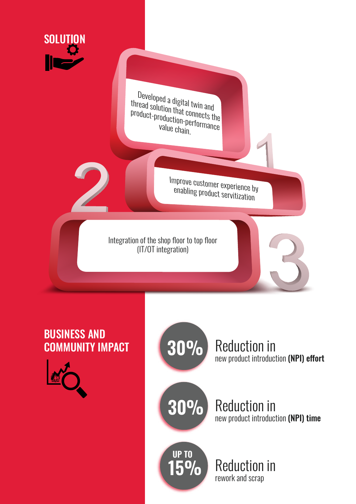